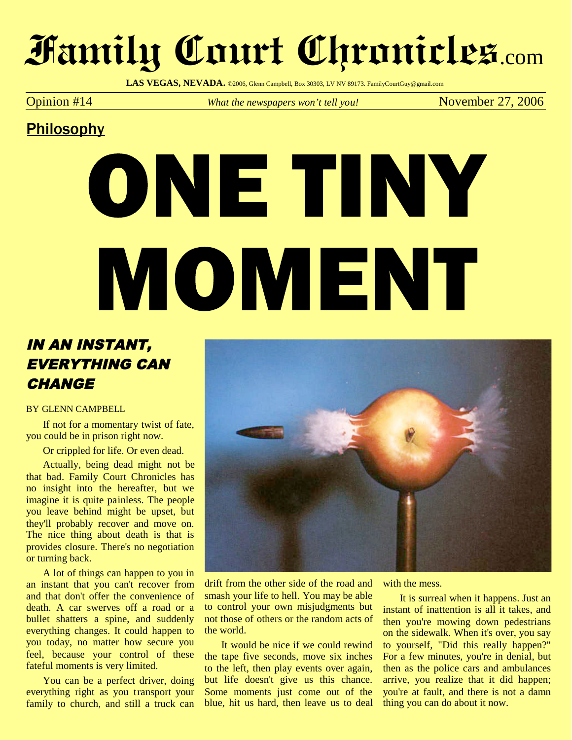## **Family Court Chronicles**.com

LAS VEGAS, NEVADA. @2006, Glenn Campbell, Box 30303, LV NV 89173. FamilyCourtGuy@gmail.com

Opinion #14 *What the newspapers won't tell you!* November 27, 2006

### **Philosophy**

# ONE TINY MOMENT

### IN AN INSTANT, EVERYTHING CAN **CHANGE**

#### BY GLENN CAMPBELL

If not for a momentary twist of fate, you could be in prison right now.

Or crippled for life. Or even dead.

Actually, being dead might not be that bad. Family Court Chronicles has no insight into the hereafter, but we imagine it is quite painless. The people you leave behind might be upset, but they'll probably recover and move on. The nice thing about death is that is provides closure. There's no negotiation or turning back.

A lot of things can happen to you in an instant that you can't recover from and that don't offer the convenience of death. A car swerves off a road or a bullet shatters a spine, and suddenly everything changes. It could happen to you today, no matter how secure you feel, because your control of these fateful moments is very limited.

You can be a perfect driver, doing everything right as you transport your family to church, and still a truck can



drift from the other side of the road and smash your life to hell. You may be able to control your own misjudgments but not those of others or the random acts of the world.

It would be nice if we could rewind the tape five seconds, move six inches to the left, then play events over again, but life doesn't give us this chance. Some moments just come out of the blue, hit us hard, then leave us to deal with the mess.

It is surreal when it happens. Just an instant of inattention is all it takes, and then you're mowing down pedestrians on the sidewalk. When it's over, you say to yourself, "Did this really happen?" For a few minutes, you're in denial, but then as the police cars and ambulances arrive, you realize that it did happen; you're at fault, and there is not a damn thing you can do about it now.